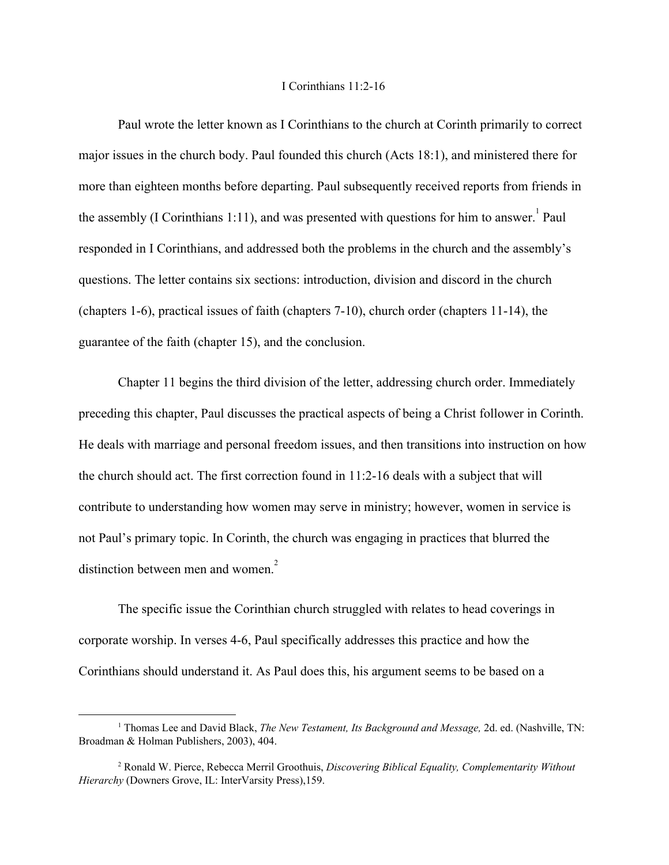## I Corinthians 11:2-16

Paul wrote the letter known as I Corinthians to the church at Corinth primarily to correct major issues in the church body. Paul founded this church (Acts 18:1), and ministered there for more than eighteen months before departing. Paul subsequently received reports from friends in the assembly (I Corinthians 1:11), and was presented with questions for him to answer. Paul responded in I Corinthians, and addressed both the problems in the church and the assembly's questions. The letter contains six sections: introduction, division and discord in the church (chapters 1-6), practical issues of faith (chapters 7-10), church order (chapters 11-14), the guarantee of the faith (chapter 15), and the conclusion.

Chapter 11 begins the third division of the letter, addressing church order. Immediately preceding this chapter, Paul discusses the practical aspects of being a Christ follower in Corinth. He deals with marriage and personal freedom issues, and then transitions into instruction on how the church should act. The first correction found in 11:2-16 deals with a subject that will contribute to understanding how women may serve in ministry; however, women in service is not Paul's primary topic. In Corinth, the church was engaging in practices that blurred the distinction between men and women.<sup>2</sup>

The specific issue the Corinthian church struggled with relates to head coverings in corporate worship. In verses 4-6, Paul specifically addresses this practice and how the Corinthians should understand it. As Paul does this, his argument seems to be based on a

<sup>1</sup> Thomas Lee and David Black, *The New Testament, Its Background and Message,* 2d. ed. (Nashville, TN: Broadman & Holman Publishers, 2003), 404.

<sup>2</sup> Ronald W. Pierce, Rebecca Merril Groothuis, *Discovering Biblical Equality, Complementarity Without Hierarchy* (Downers Grove, IL: InterVarsity Press),159.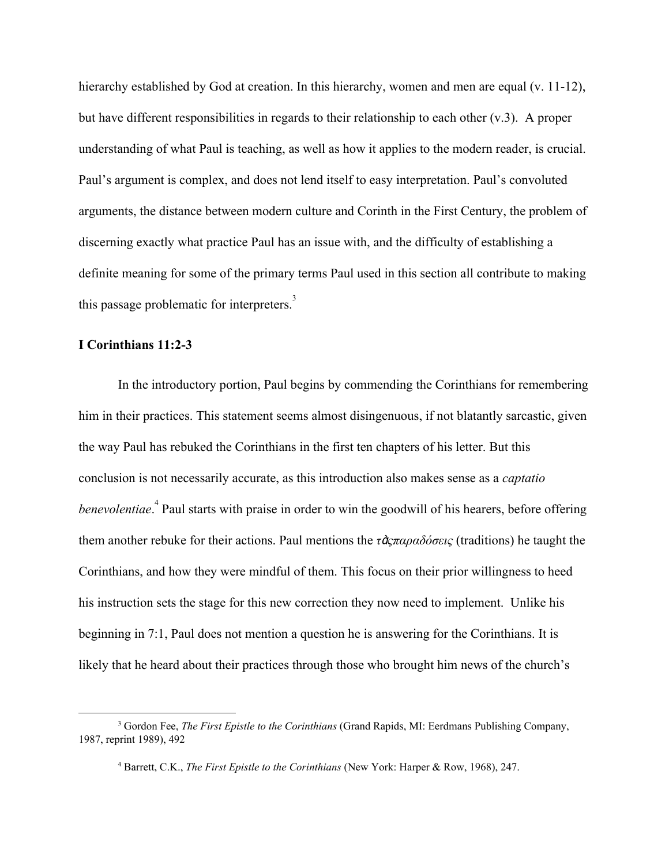hierarchy established by God at creation. In this hierarchy, women and men are equal (v. 11-12), but have different responsibilities in regards to their relationship to each other  $(v,3)$ . A proper understanding of what Paul is teaching, as well as how it applies to the modern reader, is crucial. Paul's argument is complex, and does not lend itself to easy interpretation. Paul's convoluted arguments, the distance between modern culture and Corinth in the First Century, the problem of discerning exactly what practice Paul has an issue with, and the difficulty of establishing a definite meaning for some of the primary terms Paul used in this section all contribute to making this passage problematic for interpreters.<sup>3</sup>

## **I Corinthians 11:2-3**

In the introductory portion, Paul begins by commending the Corinthians for remembering him in their practices. This statement seems almost disingenuous, if not blatantly sarcastic, given the way Paul has rebuked the Corinthians in the first ten chapters of his letter. But this conclusion is not necessarily accurate, as this introduction also makes sense as a *captatio benevolentiae*.<sup>4</sup> Paul starts with praise in order to win the goodwill of his hearers, before offering them another rebuke for their actions. Paul mentions the *τ*ὰ*ςπαραδόσεις* (traditions) he taught the Corinthians, and how they were mindful of them. This focus on their prior willingness to heed his instruction sets the stage for this new correction they now need to implement. Unlike his beginning in 7:1, Paul does not mention a question he is answering for the Corinthians. It is likely that he heard about their practices through those who brought him news of the church's

<sup>3</sup> Gordon Fee, *The First Epistle to the Corinthians* (Grand Rapids, MI: Eerdmans Publishing Company, 1987, reprint 1989), 492

<sup>4</sup> Barrett, C.K., *The First Epistle to the Corinthians* (New York: Harper & Row, 1968), 247.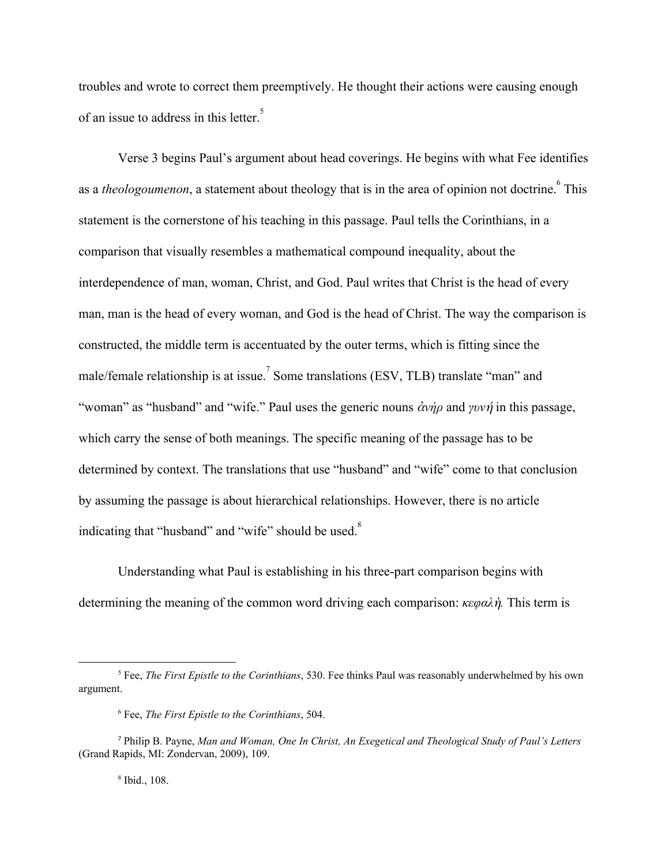troubles and wrote to correct them preemptively. He thought their actions were causing enough of an issue to address in this letter.<sup>5</sup>

Verse 3 begins Paul's argument about head coverings. He begins with what Fee identifies as a *theologoumenon*, a statement about theology that is in the area of opinion not doctrine.<sup><sup>6</sup> This</sup> statement is the cornerstone of his teaching in this passage. Paul tells the Corinthians, in a comparison that visually resembles a mathematical compound inequality, about the interdependence of man, woman, Christ, and God. Paul writes that Christ is the head of every man, man is the head of every woman, and God is the head of Christ. The way the comparison is constructed, the middle term is accentuated by the outer terms, which is fitting since the male/female relationship is at issue.<sup>7</sup> Some translations (ESV, TLB) translate "man" and "woman" as "husband" and "wife." Paul uses the generic nouns ἀ*νήρ* and *γυν*ήin this passage, which carry the sense of both meanings. The specific meaning of the passage has to be determined by context. The translations that use "husband" and "wife" come to that conclusion by assuming the passage is about hierarchical relationships. However, there is no article indicating that "husband" and "wife" should be used. $8$ 

Understanding what Paul is establishing in his three-part comparison begins with determining the meaning of the common word driving each comparison: *κεφαλ*ὴ*.* This term is

8 Ibid., 108.

<sup>5</sup> Fee, *The First Epistle to the Corinthians*, 530. Fee thinks Paul was reasonably underwhelmed by his own argument.

<sup>6</sup> Fee, *The First Epistle to the Corinthians*, 504.

<sup>7</sup> Philip B. Payne, *Man and Woman, One In Christ, An Exegetical and Theological Study of Paul's Letters* (Grand Rapids, MI: Zondervan, 2009), 109.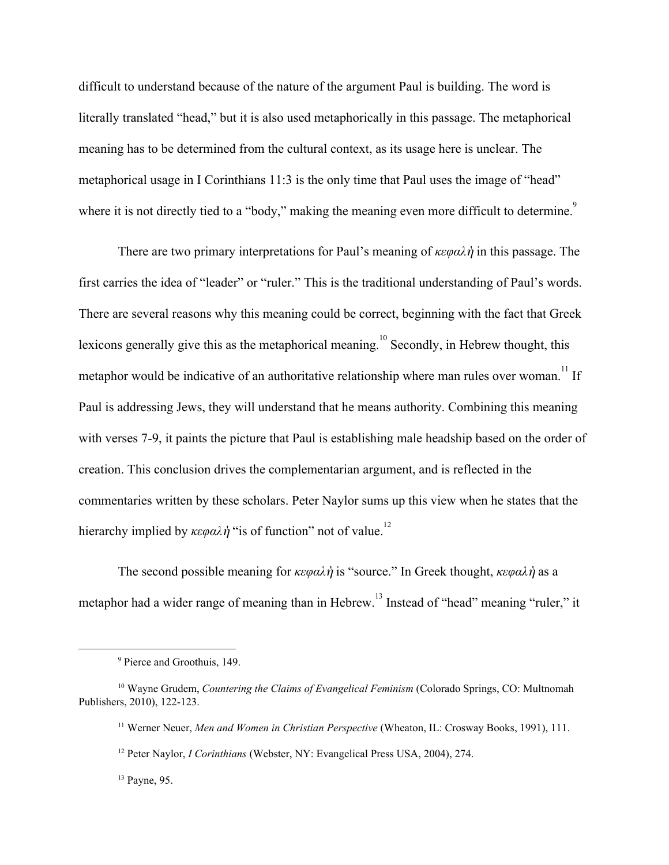difficult to understand because of the nature of the argument Paul is building. The word is literally translated "head," but it is also used metaphorically in this passage. The metaphorical meaning has to be determined from the cultural context, as its usage here is unclear. The metaphorical usage in I Corinthians 11:3 is the only time that Paul uses the image of "head" where it is not directly tied to a "body," making the meaning even more difficult to determine.<sup>9</sup>

There are two primary interpretations for Paul's meaning of *κεφαλ*ὴin this passage. The first carries the idea of "leader" or "ruler." This is the traditional understanding of Paul's words. There are several reasons why this meaning could be correct, beginning with the fact that Greek lexicons generally give this as the metaphorical meaning.<sup>10</sup> Secondly, in Hebrew thought, this metaphor would be indicative of an authoritative relationship where man rules over woman.<sup>11</sup> If Paul is addressing Jews, they will understand that he means authority. Combining this meaning with verses 7-9, it paints the picture that Paul is establishing male headship based on the order of creation. This conclusion drives the complementarian argument, and is reflected in the commentaries written by these scholars. Peter Naylor sums up this view when he states that the hierarchy implied by  $\kappa \epsilon \varphi \alpha \lambda \dot{\eta}$  "is of function" not of value.<sup>12</sup>

The second possible meaning for *κεφαλ*ὴis "source." In Greek thought, *κεφαλ*ὴas a metaphor had a wider range of meaning than in Hebrew.<sup>13</sup> Instead of "head" meaning "ruler," it

<sup>9</sup> Pierce and Groothuis, 149.

<sup>10</sup> Wayne Grudem, *Countering the Claims of Evangelical Feminism* (Colorado Springs, CO: Multnomah Publishers, 2010), 122-123.

<sup>11</sup> Werner Neuer, *Men and Women in Christian Perspective* (Wheaton, IL: Crosway Books, 1991), 111.

<sup>12</sup> Peter Naylor, *I Corinthians* (Webster, NY: Evangelical Press USA, 2004), 274.

<sup>13</sup> Payne, 95.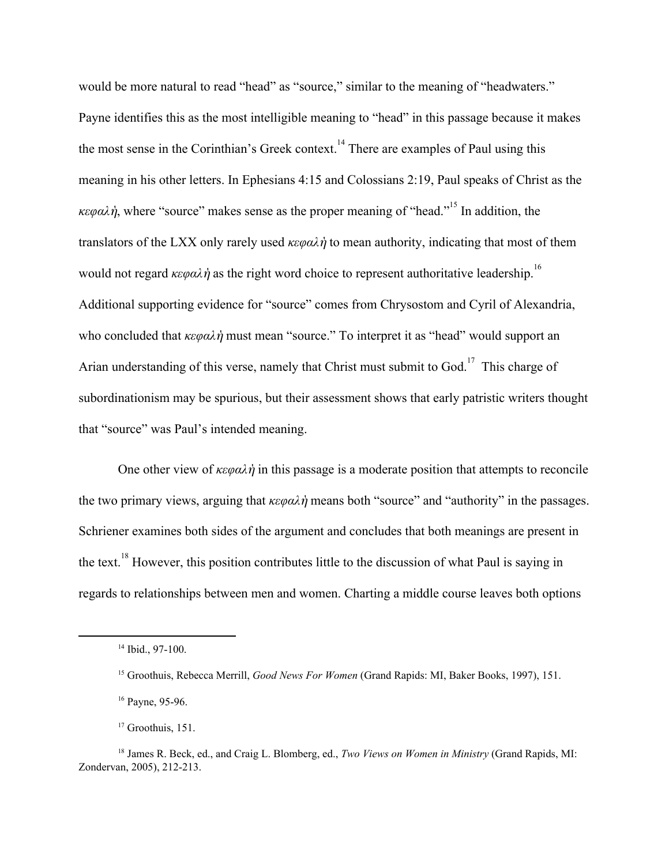would be more natural to read "head" as "source," similar to the meaning of "headwaters." Payne identifies this as the most intelligible meaning to "head" in this passage because it makes the most sense in the Corinthian's Greek context.<sup>14</sup> There are examples of Paul using this meaning in his other letters. In Ephesians 4:15 and Colossians 2:19, Paul speaks of Christ as the *κεφαλή*, where "source" makes sense as the proper meaning of "head." In addition, the translators of the LXX only rarely used *κεφαλ*ὴ to mean authority, indicating that most of them would not regard  $\kappa \epsilon \varphi \alpha \lambda \dot{\eta}$  as the right word choice to represent authoritative leadership.<sup>16</sup> Additional supporting evidence for "source" comes from Chrysostom and Cyril of Alexandria, who concluded that *κεφαλ*ὴmust mean "source." To interpret it as "head" would support an Arian understanding of this verse, namely that Christ must submit to God.<sup>17</sup> This charge of subordinationism may be spurious, but their assessment shows that early patristic writers thought that "source" was Paul's intended meaning.

One other view of *κεφαλ*ὴin this passage is a moderate position that attempts to reconcile the two primary views, arguing that *κεφαλ*ὴmeans both "source" and "authority" in the passages. Schriener examines both sides of the argument and concludes that both meanings are present in the text. <sup>18</sup> However, this position contributes little to the discussion of what Paul is saying in regards to relationships between men and women. Charting a middle course leaves both options

<sup>&</sup>lt;sup>14</sup> Ibid., 97-100.

<sup>15</sup> Groothuis, Rebecca Merrill, *Good News For Women* (Grand Rapids: MI, Baker Books, 1997), 151.

<sup>16</sup> Payne, 95-96.

<sup>&</sup>lt;sup>17</sup> Groothuis, 151.

<sup>18</sup> James R. Beck, ed., and Craig L. Blomberg, ed., *Two Views on Women in Ministry* (Grand Rapids, MI: Zondervan, 2005), 212-213.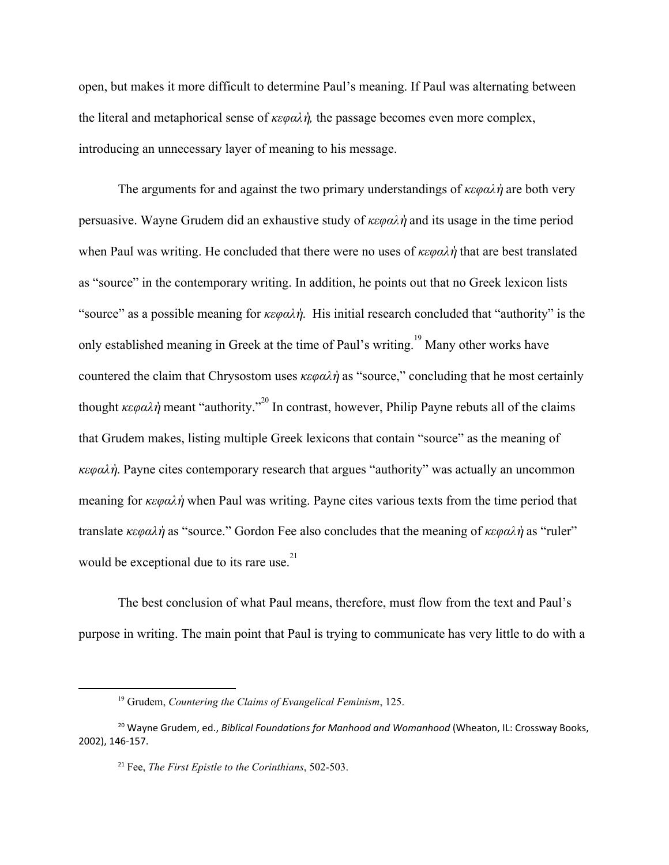open, but makes it more difficult to determine Paul's meaning. If Paul was alternating between the literal and metaphorical sense of *κεφαλ*ὴ*,* the passage becomes even more complex, introducing an unnecessary layer of meaning to his message.

The arguments for and against the two primary understandings of *κεφαλ*ὴare both very persuasive. Wayne Grudem did an exhaustive study of *κεφαλ*ὴand its usage in the time period when Paul was writing. He concluded that there were no uses of *κεφαλ*ὴthat are best translated as "source" in the contemporary writing. In addition, he points out that no Greek lexicon lists "source" as a possible meaning for *κεφαλ*ὴ. His initial research concluded that "authority" is the only established meaning in Greek at the time of Paul's writing.<sup>19</sup> Many other works have countered the claim that Chrysostom uses *κεφαλ*ὴ as "source," concluding that he most certainly thought  $\kappa \epsilon \varphi \alpha \lambda \dot{\eta}$  meant "authority."<sup>20</sup> In contrast, however, Philip Payne rebuts all of the claims that Grudem makes, listing multiple Greek lexicons that contain "source" as the meaning of *κεφαλ*ὴ. Payne cites contemporary research that argues "authority" was actually an uncommon meaning for *κεφαλ*ὴ when Paul was writing. Payne cites various texts from the time period that translate *κεφαλ*ὴ as "source." Gordon Fee also concludes that the meaning of *κεφαλ*ὴas "ruler" would be exceptional due to its rare use. $^{21}$ 

The best conclusion of what Paul means, therefore, must flow from the text and Paul's purpose in writing. The main point that Paul is trying to communicate has very little to do with a

<sup>19</sup> Grudem, *Countering the Claims of Evangelical Feminism*, 125.

<sup>20</sup> Wayne Grudem, ed., *Biblical Foundations for Manhood and Womanhood* (Wheaton, IL: Crossway Books, 2002), 146-157.

<sup>21</sup> Fee, *The First Epistle to the Corinthians*, 502-503.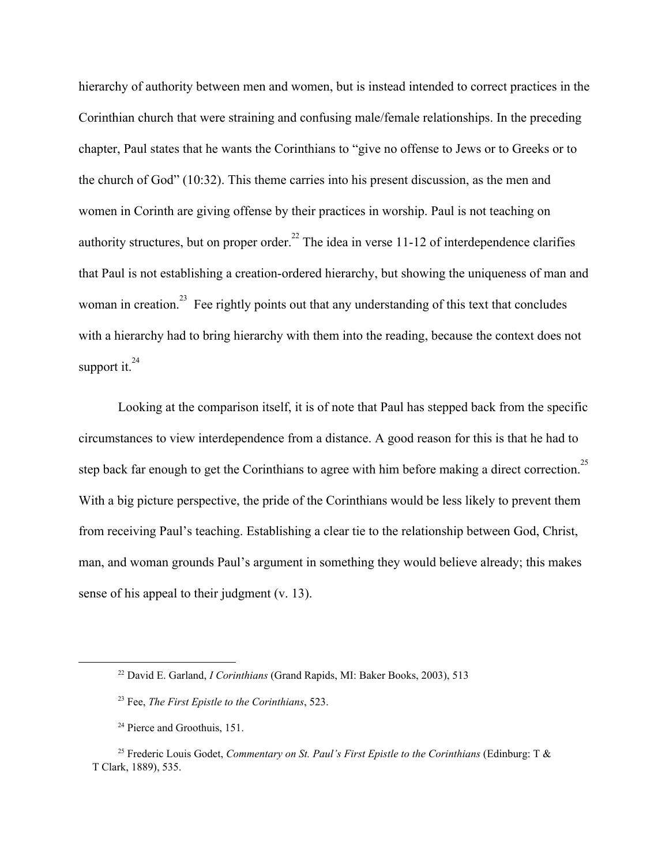hierarchy of authority between men and women, but is instead intended to correct practices in the Corinthian church that were straining and confusing male/female relationships. In the preceding chapter, Paul states that he wants the Corinthians to "give no offense to Jews or to Greeks or to the church of God" (10:32). This theme carries into his present discussion, as the men and women in Corinth are giving offense by their practices in worship. Paul is not teaching on authority structures, but on proper order.<sup>22</sup> The idea in verse 11-12 of interdependence clarifies that Paul is not establishing a creation-ordered hierarchy, but showing the uniqueness of man and woman in creation.<sup>23</sup> Fee rightly points out that any understanding of this text that concludes with a hierarchy had to bring hierarchy with them into the reading, because the context does not support it.<sup>24</sup>

Looking at the comparison itself, it is of note that Paul has stepped back from the specific circumstances to view interdependence from a distance. A good reason for this is that he had to step back far enough to get the Corinthians to agree with him before making a direct correction.<sup>25</sup> With a big picture perspective, the pride of the Corinthians would be less likely to prevent them from receiving Paul's teaching. Establishing a clear tie to the relationship between God, Christ, man, and woman grounds Paul's argument in something they would believe already; this makes sense of his appeal to their judgment (v. 13).

<sup>22</sup> David E. Garland, *I Corinthians* (Grand Rapids, MI: Baker Books, 2003), 513

<sup>23</sup> Fee, *The First Epistle to the Corinthians*, 523.

<sup>&</sup>lt;sup>24</sup> Pierce and Groothuis, 151.

<sup>25</sup> Frederic Louis Godet, *Commentary on St. Paul's First Epistle to the Corinthians* (Edinburg: T & T Clark, 1889), 535.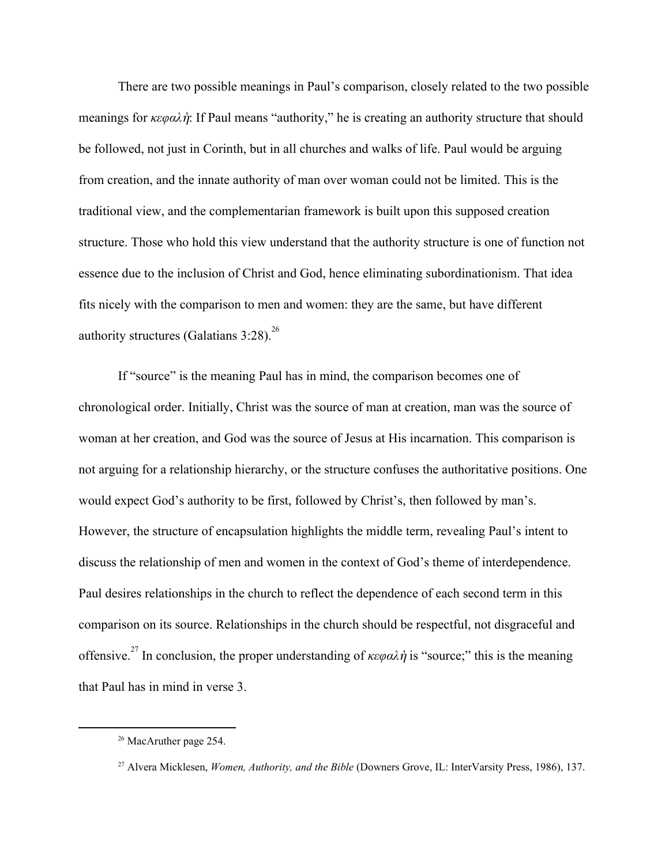There are two possible meanings in Paul's comparison, closely related to the two possible meanings for *κεφαλ*ὴ: If Paul means "authority," he is creating an authority structure that should be followed, not just in Corinth, but in all churches and walks of life. Paul would be arguing from creation, and the innate authority of man over woman could not be limited. This is the traditional view, and the complementarian framework is built upon this supposed creation structure. Those who hold this view understand that the authority structure is one of function not essence due to the inclusion of Christ and God, hence eliminating subordinationism. That idea fits nicely with the comparison to men and women: they are the same, but have different authority structures (Galatians  $3:28$ ).<sup>26</sup>

If "source" is the meaning Paul has in mind, the comparison becomes one of chronological order. Initially, Christ was the source of man at creation, man was the source of woman at her creation, and God was the source of Jesus at His incarnation. This comparison is not arguing for a relationship hierarchy, or the structure confuses the authoritative positions. One would expect God's authority to be first, followed by Christ's, then followed by man's. However, the structure of encapsulation highlights the middle term, revealing Paul's intent to discuss the relationship of men and women in the context of God's theme of interdependence. Paul desires relationships in the church to reflect the dependence of each second term in this comparison on its source. Relationships in the church should be respectful, not disgraceful and offensive.<sup>27</sup> In conclusion, the proper understanding of  $\kappa \epsilon \varphi \alpha \lambda \dot{\eta}$  is "source;" this is the meaning that Paul has in mind in verse 3.

<sup>26</sup> MacAruther page 254.

<sup>27</sup> Alvera Micklesen, *Women, Authority, and the Bible* (Downers Grove, IL: InterVarsity Press, 1986), 137.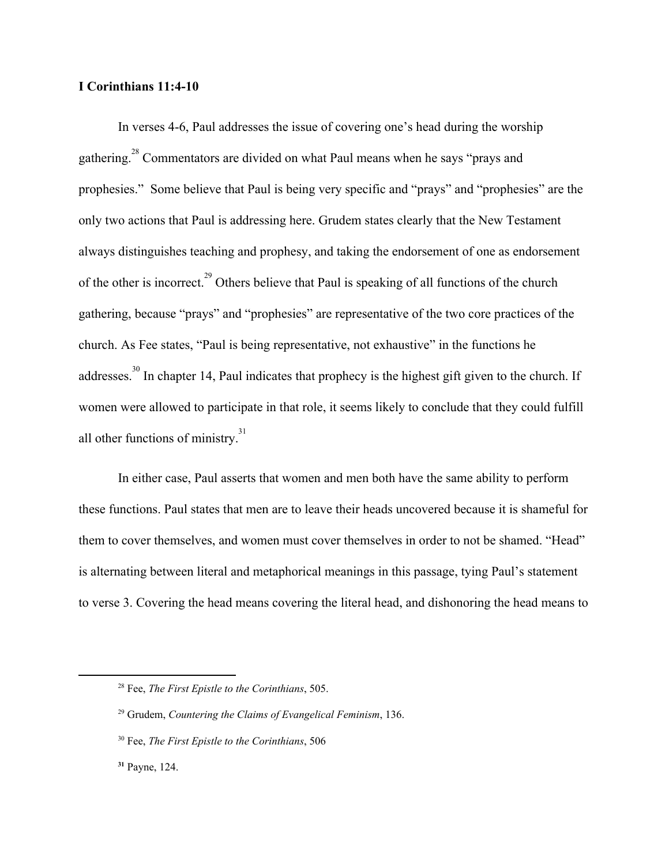## **I Corinthians 11:4-10**

In verses 4-6, Paul addresses the issue of covering one's head during the worship gathering.<sup>28</sup> Commentators are divided on what Paul means when he says "prays and prophesies." Some believe that Paul is being very specific and "prays" and "prophesies" are the only two actions that Paul is addressing here. Grudem states clearly that the New Testament always distinguishes teaching and prophesy, and taking the endorsement of one as endorsement of the other is incorrect.<sup>29</sup> Others believe that Paul is speaking of all functions of the church gathering, because "prays" and "prophesies" are representative of the two core practices of the church. As Fee states, "Paul is being representative, not exhaustive" in the functions he addresses.<sup>30</sup> In chapter 14, Paul indicates that prophecy is the highest gift given to the church. If women were allowed to participate in that role, it seems likely to conclude that they could fulfill all other functions of ministry. $31$ 

In either case, Paul asserts that women and men both have the same ability to perform these functions. Paul states that men are to leave their heads uncovered because it is shameful for them to cover themselves, and women must cover themselves in order to not be shamed. "Head" is alternating between literal and metaphorical meanings in this passage, tying Paul's statement to verse 3. Covering the head means covering the literal head, and dishonoring the head means to

<sup>28</sup> Fee, *The First Epistle to the Corinthians*, 505.

<sup>29</sup> Grudem, *Countering the Claims of Evangelical Feminism*, 136.

<sup>30</sup> Fee, *The First Epistle to the Corinthians*, 506

**<sup>31</sup>** Payne, 124.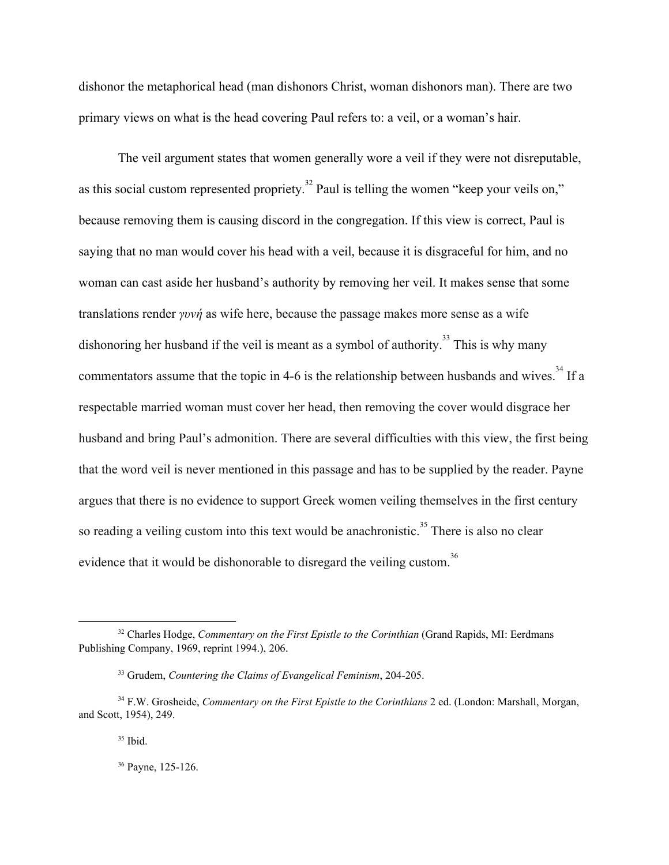dishonor the metaphorical head (man dishonors Christ, woman dishonors man). There are two primary views on what is the head covering Paul refers to: a veil, or a woman's hair.

The veil argument states that women generally wore a veil if they were not disreputable, as this social custom represented propriety.<sup>32</sup> Paul is telling the women "keep your veils on," because removing them is causing discord in the congregation. If this view is correct, Paul is saying that no man would cover his head with a veil, because it is disgraceful for him, and no woman can cast aside her husband's authority by removing her veil. It makes sense that some translations render *γυνή* as wife here, because the passage makes more sense as a wife dishonoring her husband if the veil is meant as a symbol of authority.<sup>33</sup> This is why many commentators assume that the topic in 4-6 is the relationship between husbands and wives.<sup>34</sup> If a respectable married woman must cover her head, then removing the cover would disgrace her husband and bring Paul's admonition. There are several difficulties with this view, the first being that the word veil is never mentioned in this passage and has to be supplied by the reader. Payne argues that there is no evidence to support Greek women veiling themselves in the first century so reading a veiling custom into this text would be anachronistic.<sup>35</sup> There is also no clear evidence that it would be dishonorable to disregard the veiling custom.<sup>36</sup>

<sup>32</sup> Charles Hodge, *Commentary on the First Epistle to the Corinthian* (Grand Rapids, MI: Eerdmans Publishing Company, 1969, reprint 1994.), 206.

<sup>33</sup> Grudem, *Countering the Claims of Evangelical Feminism*, 204-205.

<sup>34</sup> F.W. Grosheide, *Commentary on the First Epistle to the Corinthians* 2 ed. (London: Marshall, Morgan, and Scott, 1954), 249.

<sup>35</sup> Ibid.

<sup>36</sup> Payne, 125-126.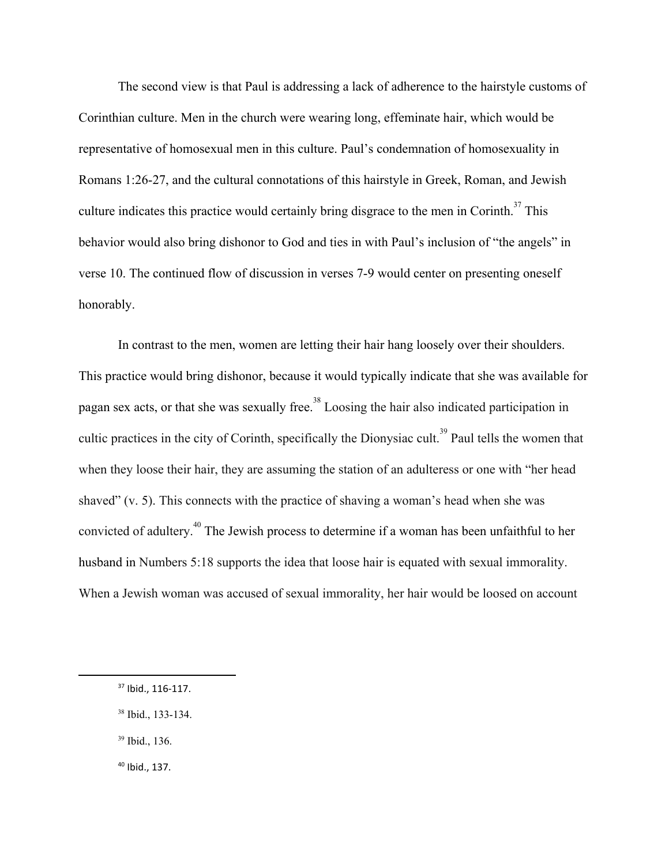The second view is that Paul is addressing a lack of adherence to the hairstyle customs of Corinthian culture. Men in the church were wearing long, effeminate hair, which would be representative of homosexual men in this culture. Paul's condemnation of homosexuality in Romans 1:26-27, and the cultural connotations of this hairstyle in Greek, Roman, and Jewish culture indicates this practice would certainly bring disgrace to the men in Corinth.<sup>37</sup> This behavior would also bring dishonor to God and ties in with Paul's inclusion of "the angels" in verse 10. The continued flow of discussion in verses 7-9 would center on presenting oneself honorably.

In contrast to the men, women are letting their hair hang loosely over their shoulders. This practice would bring dishonor, because it would typically indicate that she was available for pagan sex acts, or that she was sexually free.<sup>38</sup> Loosing the hair also indicated participation in cultic practices in the city of Corinth, specifically the Dionysiac cult.<sup>39</sup> Paul tells the women that when they loose their hair, they are assuming the station of an adulteress or one with "her head shaved" (v. 5). This connects with the practice of shaving a woman's head when she was convicted of adultery.<sup> $40$ </sup> The Jewish process to determine if a woman has been unfaithful to her husband in Numbers 5:18 supports the idea that loose hair is equated with sexual immorality. When a Jewish woman was accused of sexual immorality, her hair would be loosed on account

- <sup>38</sup> Ibid., 133-134.
- <sup>39</sup> Ibid., 136.
- <sup>40</sup> Ibid., 137.

<sup>37</sup> Ibid., 116-117.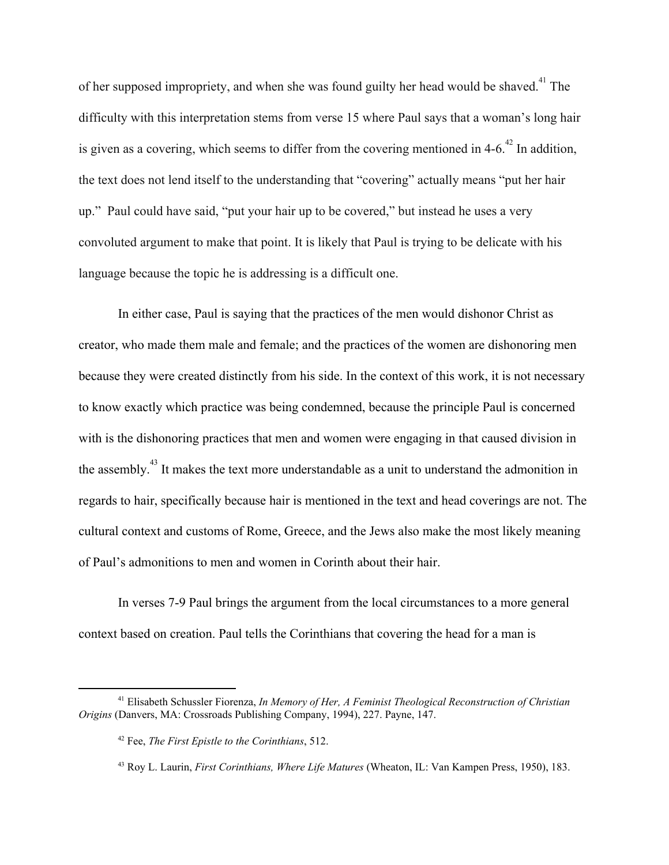of her supposed impropriety, and when she was found guilty her head would be shaved. <sup>41</sup> The difficulty with this interpretation stems from verse 15 where Paul says that a woman's long hair is given as a covering, which seems to differ from the covering mentioned in 4-6.<sup> $42$ </sup> In addition, the text does not lend itself to the understanding that "covering" actually means "put her hair up." Paul could have said, "put your hair up to be covered," but instead he uses a very convoluted argument to make that point. It is likely that Paul is trying to be delicate with his language because the topic he is addressing is a difficult one.

In either case, Paul is saying that the practices of the men would dishonor Christ as creator, who made them male and female; and the practices of the women are dishonoring men because they were created distinctly from his side. In the context of this work, it is not necessary to know exactly which practice was being condemned, because the principle Paul is concerned with is the dishonoring practices that men and women were engaging in that caused division in the assembly.<sup>43</sup> It makes the text more understandable as a unit to understand the admonition in regards to hair, specifically because hair is mentioned in the text and head coverings are not. The cultural context and customs of Rome, Greece, and the Jews also make the most likely meaning of Paul's admonitions to men and women in Corinth about their hair.

In verses 7-9 Paul brings the argument from the local circumstances to a more general context based on creation. Paul tells the Corinthians that covering the head for a man is

<sup>41</sup> Elisabeth Schussler Fiorenza, *In Memory of Her, A Feminist Theological Reconstruction of Christian Origins* (Danvers, MA: Crossroads Publishing Company, 1994), 227. Payne, 147.

<sup>42</sup> Fee, *The First Epistle to the Corinthians*, 512.

<sup>43</sup> Roy L. Laurin, *First Corinthians, Where Life Matures* (Wheaton, IL: Van Kampen Press, 1950), 183.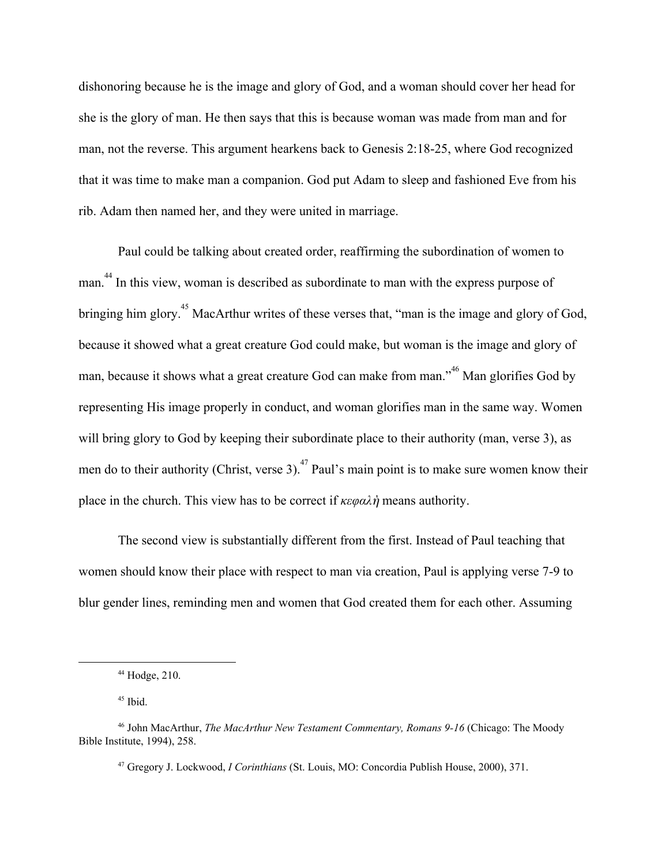dishonoring because he is the image and glory of God, and a woman should cover her head for she is the glory of man. He then says that this is because woman was made from man and for man, not the reverse. This argument hearkens back to Genesis 2:18-25, where God recognized that it was time to make man a companion. God put Adam to sleep and fashioned Eve from his rib. Adam then named her, and they were united in marriage.

Paul could be talking about created order, reaffirming the subordination of women to man.<sup>44</sup> In this view, woman is described as subordinate to man with the express purpose of bringing him glory.<sup>45</sup> MacArthur writes of these verses that, "man is the image and glory of God, because it showed what a great creature God could make, but woman is the image and glory of man, because it shows what a great creature God can make from man.<sup>46</sup> Man glorifies God by representing His image properly in conduct, and woman glorifies man in the same way. Women will bring glory to God by keeping their subordinate place to their authority (man, verse 3), as men do to their authority (Christ, verse 3). <sup>47</sup> Paul's main point is to make sure women know their place in the church. This view has to be correct if *κεφαλ*ὴmeans authority.

The second view is substantially different from the first. Instead of Paul teaching that women should know their place with respect to man via creation, Paul is applying verse 7-9 to blur gender lines, reminding men and women that God created them for each other. Assuming

 $44$  Hodge, 210.

 $45$  Ibid.

<sup>46</sup> John MacArthur, *The MacArthur New Testament Commentary, Romans 9-16* (Chicago: The Moody Bible Institute, 1994), 258.

<sup>47</sup> Gregory J. Lockwood, *I Corinthians* (St. Louis, MO: Concordia Publish House, 2000), 371.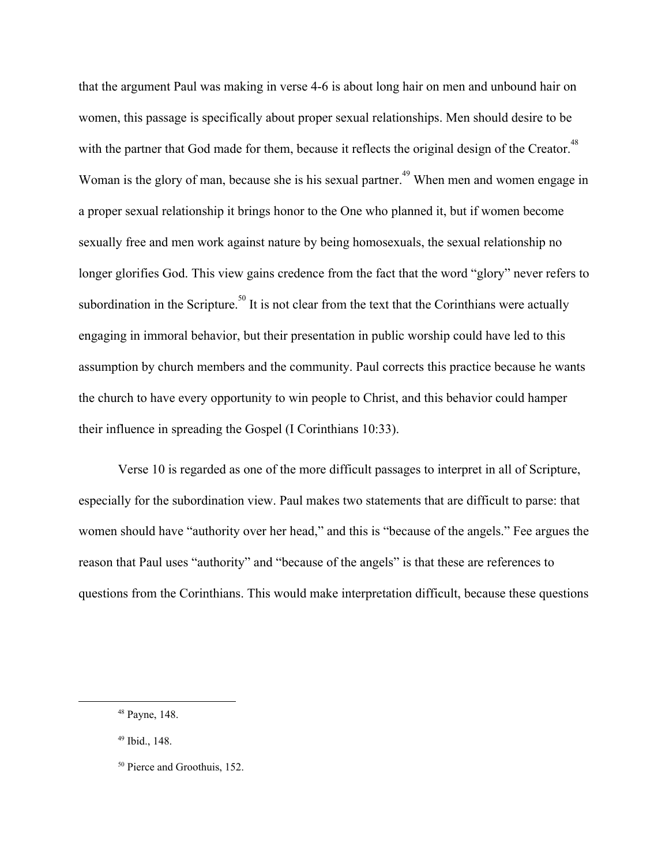that the argument Paul was making in verse 4-6 is about long hair on men and unbound hair on women, this passage is specifically about proper sexual relationships. Men should desire to be with the partner that God made for them, because it reflects the original design of the Creator.<sup>48</sup> Woman is the glory of man, because she is his sexual partner.<sup>49</sup> When men and women engage in a proper sexual relationship it brings honor to the One who planned it, but if women become sexually free and men work against nature by being homosexuals, the sexual relationship no longer glorifies God. This view gains credence from the fact that the word "glory" never refers to subordination in the Scripture.<sup>50</sup> It is not clear from the text that the Corinthians were actually engaging in immoral behavior, but their presentation in public worship could have led to this assumption by church members and the community. Paul corrects this practice because he wants the church to have every opportunity to win people to Christ, and this behavior could hamper their influence in spreading the Gospel (I Corinthians 10:33).

Verse 10 is regarded as one of the more difficult passages to interpret in all of Scripture, especially for the subordination view. Paul makes two statements that are difficult to parse: that women should have "authority over her head," and this is "because of the angels." Fee argues the reason that Paul uses "authority" and "because of the angels" is that these are references to questions from the Corinthians. This would make interpretation difficult, because these questions

<sup>48</sup> Payne, 148.

<sup>49</sup> Ibid., 148.

<sup>50</sup> Pierce and Groothuis, 152.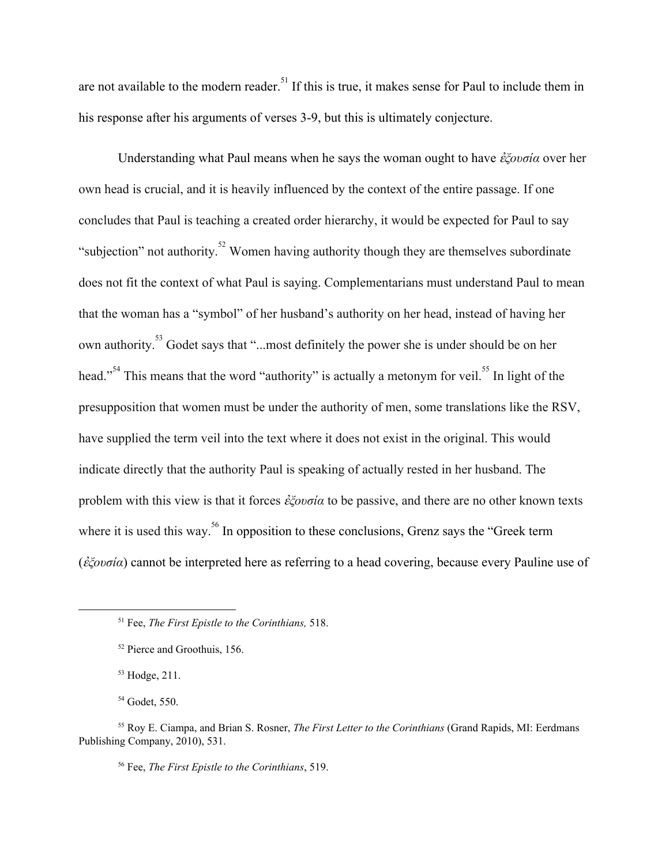are not available to the modern reader.<sup>51</sup> If this is true, it makes sense for Paul to include them in his response after his arguments of verses 3-9, but this is ultimately conjecture.

Understanding what Paul means when he says the woman ought to have ἐ*ξουσία* over her own head is crucial, and it is heavily influenced by the context of the entire passage. If one concludes that Paul is teaching a created order hierarchy, it would be expected for Paul to say "subjection" not authority.<sup>52</sup> Women having authority though they are themselves subordinate does not fit the context of what Paul is saying. Complementarians must understand Paul to mean that the woman has a "symbol" of her husband's authority on her head, instead of having her own authority.<sup>53</sup> Godet says that "...most definitely the power she is under should be on her head."<sup>54</sup> This means that the word "authority" is actually a metonym for veil.<sup>55</sup> In light of the presupposition that women must be under the authority of men, some translations like the RSV, have supplied the term veil into the text where it does not exist in the original. This would indicate directly that the authority Paul is speaking of actually rested in her husband. The problem with this view is that it forces ἐ*ξουσία* to be passive, and there are no other known texts where it is used this way.<sup>56</sup> In opposition to these conclusions, Grenz says the "Greek term" (ἐ*ξουσία* ) cannot be interpreted here as referring to a head covering, because every Pauline use of

<sup>53</sup> Hodge, 211.

<sup>54</sup> Godet, 550.

<sup>56</sup> Fee, *The First Epistle to the Corinthians*, 519.

<sup>51</sup> Fee, *The First Epistle to the Corinthians,* 518.

<sup>52</sup> Pierce and Groothuis, 156.

<sup>55</sup> Roy E. Ciampa, and Brian S. Rosner, *The First Letter to the Corinthians* (Grand Rapids, MI: Eerdmans Publishing Company, 2010), 531.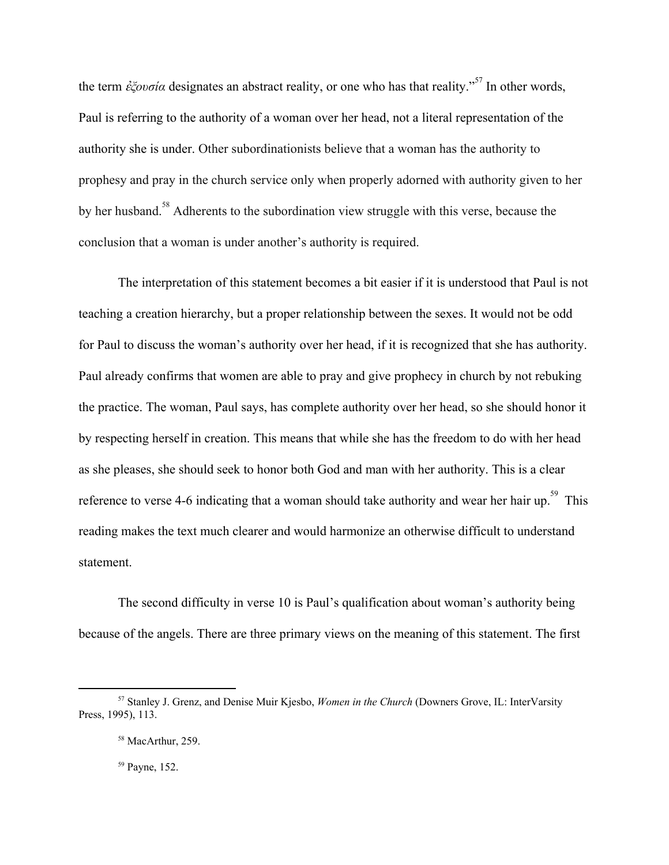the term *έξουσία* designates an abstract reality, or one who has that reality.<sup>57</sup> In other words, Paul is referring to the authority of a woman over her head, not a literal representation of the authority she is under. Other subordinationists believe that a woman has the authority to prophesy and pray in the church service only when properly adorned with authority given to her by her husband.<sup>58</sup> Adherents to the subordination view struggle with this verse, because the conclusion that a woman is under another's authority is required.

The interpretation of this statement becomes a bit easier if it is understood that Paul is not teaching a creation hierarchy, but a proper relationship between the sexes. It would not be odd for Paul to discuss the woman's authority over her head, if it is recognized that she has authority. Paul already confirms that women are able to pray and give prophecy in church by not rebuking the practice. The woman, Paul says, has complete authority over her head, so she should honor it by respecting herself in creation. This means that while she has the freedom to do with her head as she pleases, she should seek to honor both God and man with her authority. This is a clear reference to verse 4-6 indicating that a woman should take authority and wear her hair up.<sup>59</sup> This reading makes the text much clearer and would harmonize an otherwise difficult to understand statement.

The second difficulty in verse 10 is Paul's qualification about woman's authority being because of the angels. There are three primary views on the meaning of this statement. The first

<sup>57</sup> Stanley J. Grenz, and Denise Muir Kjesbo, *Women in the Church* (Downers Grove, IL: InterVarsity Press, 1995), 113.

<sup>&</sup>lt;sup>58</sup> MacArthur, 259.

<sup>59</sup> Payne, 152.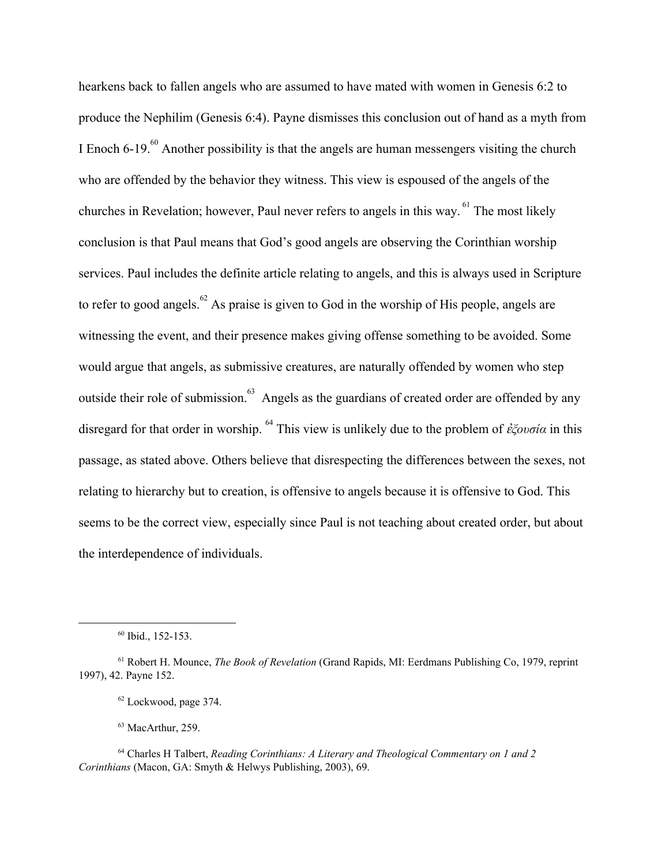hearkens back to fallen angels who are assumed to have mated with women in Genesis 6:2 to produce the Nephilim (Genesis 6:4). Payne dismisses this conclusion out of hand as a myth from I Enoch  $6-19.$ <sup>60</sup> Another possibility is that the angels are human messengers visiting the church who are offended by the behavior they witness. This view is espoused of the angels of the churches in Revelation; however, Paul never refers to angels in this way.  $61$  The most likely conclusion is that Paul means that God's good angels are observing the Corinthian worship services. Paul includes the definite article relating to angels, and this is always used in Scripture to refer to good angels.  $^{62}$  As praise is given to God in the worship of His people, angels are witnessing the event, and their presence makes giving offense something to be avoided. Some would argue that angels, as submissive creatures, are naturally offended by women who step outside their role of submission.<sup>63</sup> Angels as the guardians of created order are offended by any disregard for that order in worship. <sup>64</sup> This view is unlikely due to the problem of *ἐξουσία* in this passage, as stated above. Others believe that disrespecting the differences between the sexes, not relating to hierarchy but to creation, is offensive to angels because it is offensive to God. This seems to be the correct view, especially since Paul is not teaching about created order, but about the interdependence of individuals.

<sup>63</sup> MacArthur, 259.

<sup>60</sup> Ibid., 152-153.

<sup>61</sup> Robert H. Mounce, *The Book of Revelation* (Grand Rapids, MI: Eerdmans Publishing Co, 1979, reprint 1997), 42. Payne 152.

<sup>62</sup> Lockwood, page 374.

<sup>64</sup> Charles H Talbert, *Reading Corinthians: A Literary and Theological Commentary on 1 and 2 Corinthians* (Macon, GA: Smyth & Helwys Publishing, 2003), 69.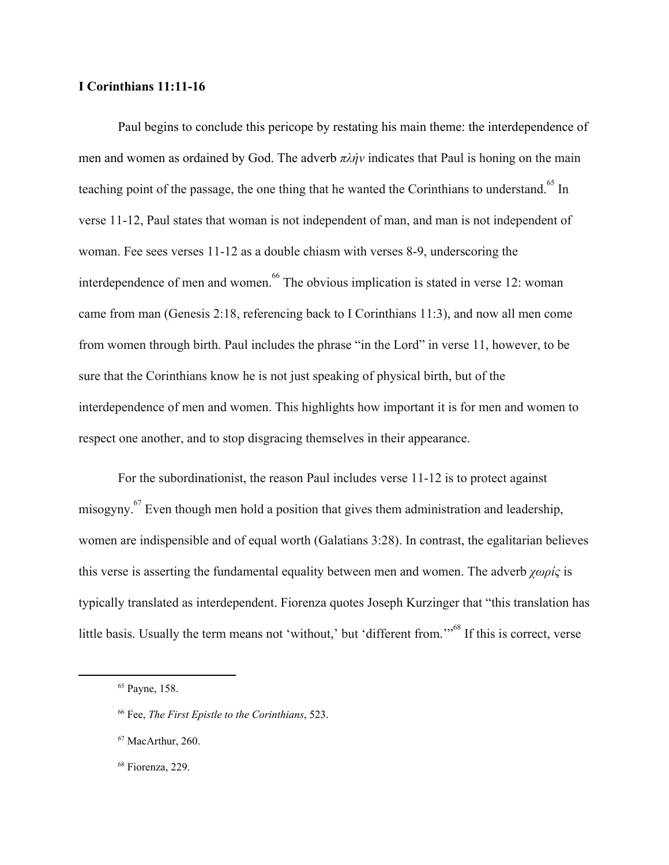## **I Corinthians 11:11-16**

Paul begins to conclude this pericope by restating his main theme: the interdependence of men and women as ordained by God. The adverb *πλήν* indicates that Paul is honing on the main teaching point of the passage, the one thing that he wanted the Corinthians to understand.<sup>65</sup> In verse 11-12, Paul states that woman is not independent of man, and man is not independent of woman. Fee sees verses 11-12 as a double chiasm with verses 8-9, underscoring the interdependence of men and women.  $^{66}$  The obvious implication is stated in verse 12: woman came from man (Genesis 2:18, referencing back to I Corinthians 11:3), and now all men come from women through birth. Paul includes the phrase "in the Lord" in verse 11, however, to be sure that the Corinthians know he is not just speaking of physical birth, but of the interdependence of men and women. This highlights how important it is for men and women to respect one another, and to stop disgracing themselves in their appearance.

For the subordinationist, the reason Paul includes verse 11-12 is to protect against misogyny. <sup> $67$ </sup> Even though men hold a position that gives them administration and leadership, women are indispensible and of equal worth (Galatians 3:28). In contrast, the egalitarian believes this verse is asserting the fundamental equality between men and women. The adverb *χωρίς* is typically translated as interdependent. Fiorenza quotes Joseph Kurzinger that "this translation has little basis. Usually the term means not 'without,' but 'different from."<sup>68</sup> If this is correct, verse

<sup>65</sup> Payne, 158.

<sup>66</sup> Fee, *The First Epistle to the Corinthians*, 523.

<sup>67</sup> MacArthur, 260.

<sup>68</sup> Fiorenza, 229.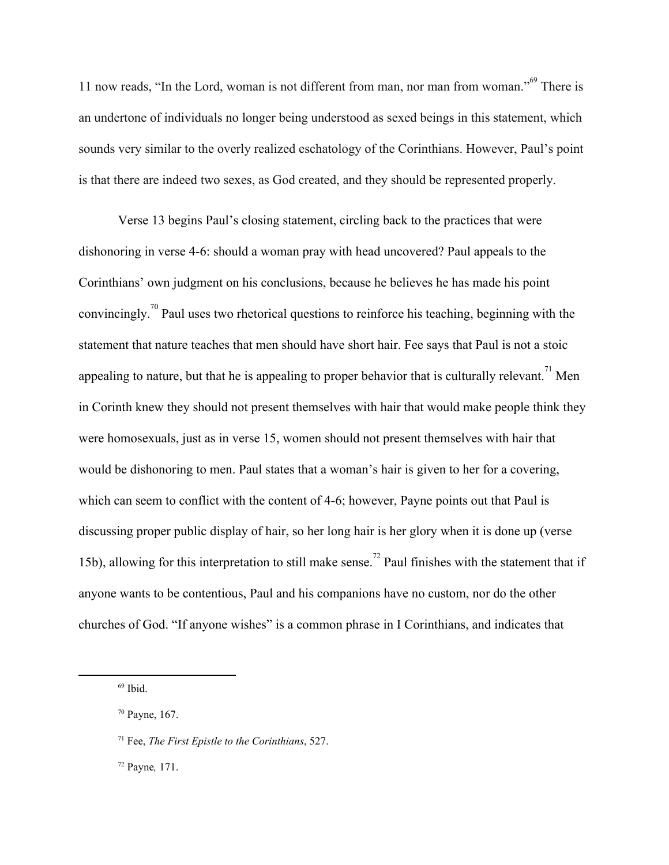11 now reads, "In the Lord, woman is not different from man, nor man from woman." $^{69}$  There is an undertone of individuals no longer being understood as sexed beings in this statement, which sounds very similar to the overly realized eschatology of the Corinthians. However, Paul's point is that there are indeed two sexes, as God created, and they should be represented properly.

Verse 13 begins Paul's closing statement, circling back to the practices that were dishonoring in verse 4-6: should a woman pray with head uncovered? Paul appeals to the Corinthians' own judgment on his conclusions, because he believes he has made his point convincingly.<sup>70</sup> Paul uses two rhetorical questions to reinforce his teaching, beginning with the statement that nature teaches that men should have short hair. Fee says that Paul is not a stoic appealing to nature, but that he is appealing to proper behavior that is culturally relevant.<sup>71</sup> Men in Corinth knew they should not present themselves with hair that would make people think they were homosexuals, just as in verse 15, women should not present themselves with hair that would be dishonoring to men. Paul states that a woman's hair is given to her for a covering, which can seem to conflict with the content of 4-6; however, Payne points out that Paul is discussing proper public display of hair, so her long hair is her glory when it is done up (verse 15b), allowing for this interpretation to still make sense.<sup>72</sup> Paul finishes with the statement that if anyone wants to be contentious, Paul and his companions have no custom, nor do the other churches of God. "If anyone wishes" is a common phrase in I Corinthians, and indicates that

<sup>69</sup> Ibid.

<sup>70</sup> Payne, 167.

<sup>71</sup> Fee, *The First Epistle to the Corinthians*, 527.

<sup>72</sup> Payne*,* 171.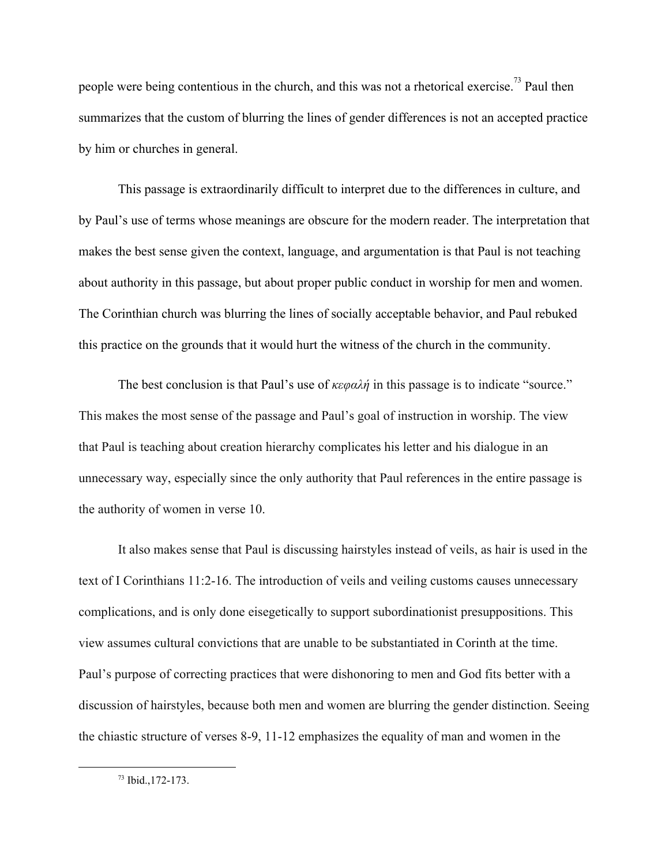people were being contentious in the church, and this was not a rhetorical exercise.<sup>73</sup> Paul then summarizes that the custom of blurring the lines of gender differences is not an accepted practice by him or churches in general.

This passage is extraordinarily difficult to interpret due to the differences in culture, and by Paul's use of terms whose meanings are obscure for the modern reader. The interpretation that makes the best sense given the context, language, and argumentation is that Paul is not teaching about authority in this passage, but about proper public conduct in worship for men and women. The Corinthian church was blurring the lines of socially acceptable behavior, and Paul rebuked this practice on the grounds that it would hurt the witness of the church in the community.

The best conclusion is that Paul's use of *κεφαλή* in this passage is to indicate "source." This makes the most sense of the passage and Paul's goal of instruction in worship. The view that Paul is teaching about creation hierarchy complicates his letter and his dialogue in an unnecessary way, especially since the only authority that Paul references in the entire passage is the authority of women in verse 10.

It also makes sense that Paul is discussing hairstyles instead of veils, as hair is used in the text of I Corinthians 11:2-16. The introduction of veils and veiling customs causes unnecessary complications, and is only done eisegetically to support subordinationist presuppositions. This view assumes cultural convictions that are unable to be substantiated in Corinth at the time. Paul's purpose of correcting practices that were dishonoring to men and God fits better with a discussion of hairstyles, because both men and women are blurring the gender distinction. Seeing the chiastic structure of verses 8-9, 11-12 emphasizes the equality of man and women in the

<sup>73</sup> Ibid.,172-173.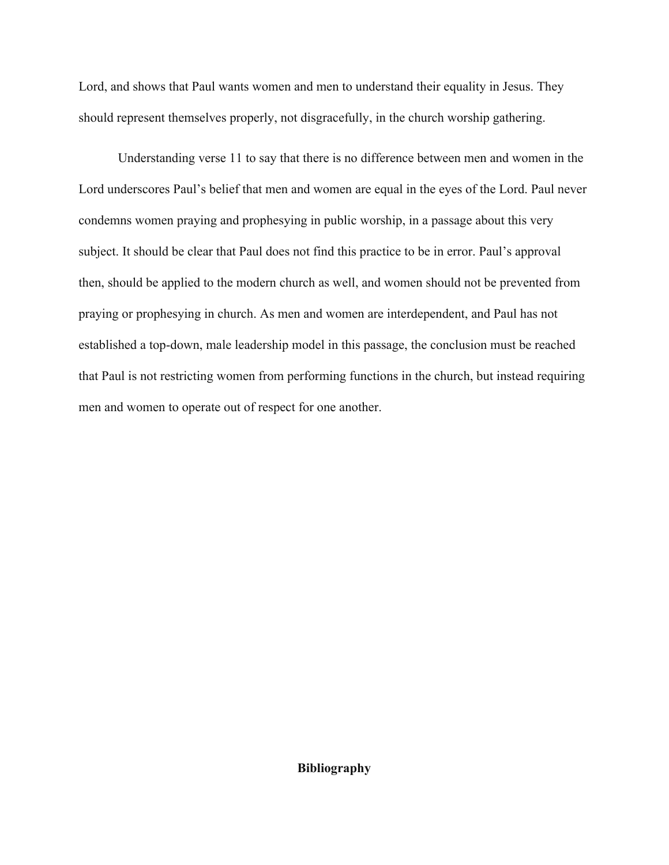Lord, and shows that Paul wants women and men to understand their equality in Jesus. They should represent themselves properly, not disgracefully, in the church worship gathering.

Understanding verse 11 to say that there is no difference between men and women in the Lord underscores Paul's belief that men and women are equal in the eyes of the Lord. Paul never condemns women praying and prophesying in public worship, in a passage about this very subject. It should be clear that Paul does not find this practice to be in error. Paul's approval then, should be applied to the modern church as well, and women should not be prevented from praying or prophesying in church. As men and women are interdependent, and Paul has not established a top-down, male leadership model in this passage, the conclusion must be reached that Paul is not restricting women from performing functions in the church, but instead requiring men and women to operate out of respect for one another.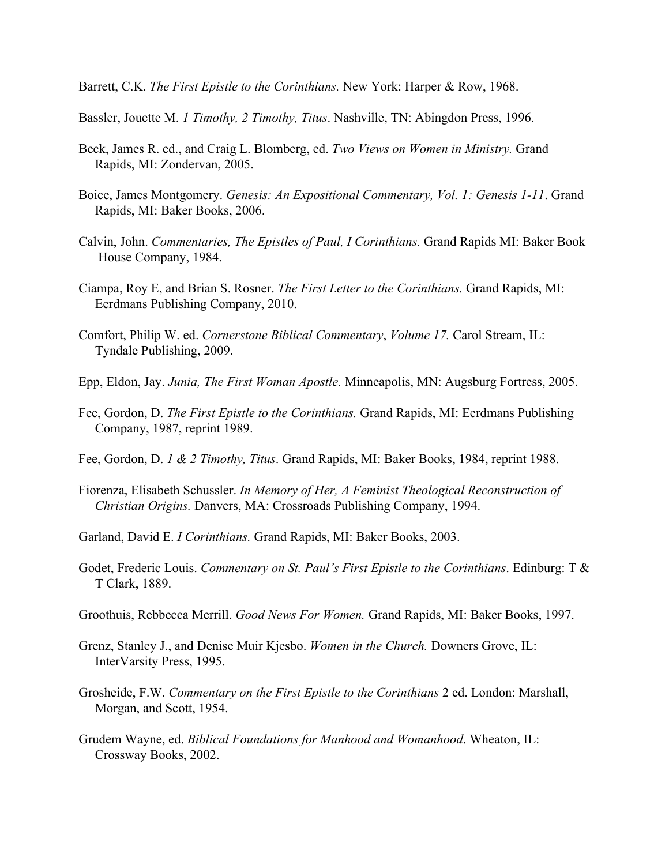Barrett, C.K. *The First Epistle to the Corinthians.* New York: Harper & Row, 1968.

Bassler, Jouette M. *1 Timothy, 2 Timothy, Titus*. Nashville, TN: Abingdon Press, 1996.

- Beck, James R. ed., and Craig L. Blomberg, ed. *Two Views on Women in Ministry.* Grand Rapids, MI: Zondervan, 2005.
- Boice, James Montgomery. *Genesis: An Expositional Commentary, Vol. 1: Genesis 1-11*. Grand Rapids, MI: Baker Books, 2006.
- Calvin, John. *Commentaries, The Epistles of Paul, I Corinthians.* Grand Rapids MI: Baker Book House Company, 1984.
- Ciampa, Roy E, and Brian S. Rosner. *The First Letter to the Corinthians.* Grand Rapids, MI: Eerdmans Publishing Company, 2010.
- Comfort, Philip W. ed. *Cornerstone Biblical Commentary*, *Volume 17.* Carol Stream, IL: Tyndale Publishing, 2009.
- Epp, Eldon, Jay. *Junia, The First Woman Apostle.* Minneapolis, MN: Augsburg Fortress, 2005.
- Fee, Gordon, D. *The First Epistle to the Corinthians.* Grand Rapids, MI: Eerdmans Publishing Company, 1987, reprint 1989.
- Fee, Gordon, D. *1 & 2 Timothy, Titus*. Grand Rapids, MI: Baker Books, 1984, reprint 1988.
- Fiorenza, Elisabeth Schussler. *In Memory of Her, A Feminist Theological Reconstruction of Christian Origins.* Danvers, MA: Crossroads Publishing Company, 1994.
- Garland, David E. *I Corinthians.* Grand Rapids, MI: Baker Books, 2003.
- Godet, Frederic Louis. *Commentary on St. Paul's First Epistle to the Corinthians*. Edinburg: T & T Clark, 1889.
- Groothuis, Rebbecca Merrill. *Good News For Women.* Grand Rapids, MI: Baker Books, 1997.
- Grenz, Stanley J., and Denise Muir Kjesbo. *Women in the Church.* Downers Grove, IL: InterVarsity Press, 1995.
- Grosheide, F.W. *Commentary on the First Epistle to the Corinthians* 2 ed. London: Marshall, Morgan, and Scott, 1954.
- Grudem Wayne, ed. *Biblical Foundations for Manhood and Womanhood*. Wheaton, IL: Crossway Books, 2002.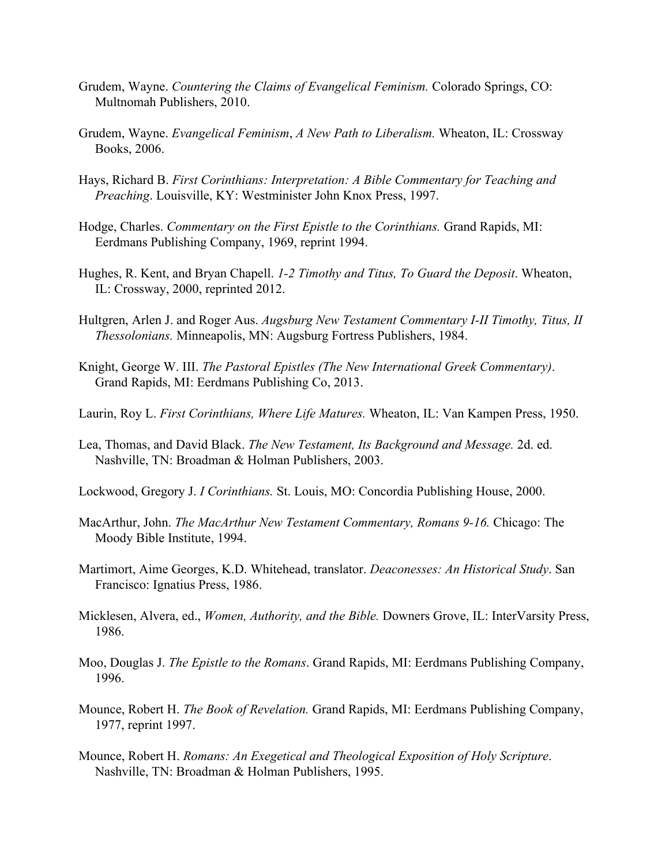- Grudem, Wayne. *Countering the Claims of Evangelical Feminism.* Colorado Springs, CO: Multnomah Publishers, 2010.
- Grudem, Wayne. *Evangelical Feminism*, *A New Path to Liberalism.* Wheaton, IL: Crossway Books, 2006.
- Hays, Richard B. *First Corinthians: Interpretation: A Bible Commentary for Teaching and Preaching*. Louisville, KY: Westminister John Knox Press, 1997.
- Hodge, Charles. *Commentary on the First Epistle to the Corinthians.* Grand Rapids, MI: Eerdmans Publishing Company, 1969, reprint 1994.
- Hughes, R. Kent, and Bryan Chapell. *1-2 Timothy and Titus, To Guard the Deposit*. Wheaton, IL: Crossway, 2000, reprinted 2012.
- Hultgren, Arlen J. and Roger Aus. *Augsburg New Testament Commentary I-II Timothy, Titus, II Thessolonians.* Minneapolis, MN: Augsburg Fortress Publishers, 1984.
- Knight, George W. III. *The Pastoral Epistles (The New International Greek Commentary)*. Grand Rapids, MI: Eerdmans Publishing Co, 2013.
- Laurin, Roy L. *First Corinthians, Where Life Matures.* Wheaton, IL: Van Kampen Press, 1950.
- Lea, Thomas, and David Black. *The New Testament, Its Background and Message.* 2d. ed. Nashville, TN: Broadman & Holman Publishers, 2003.
- Lockwood, Gregory J. *I Corinthians.* St. Louis, MO: Concordia Publishing House, 2000.
- MacArthur, John. *The MacArthur New Testament Commentary, Romans 9-16.* Chicago: The Moody Bible Institute, 1994.
- Martimort, Aime Georges, K.D. Whitehead, translator. *Deaconesses: An Historical Study*. San Francisco: Ignatius Press, 1986.
- Micklesen, Alvera, ed., *Women, Authority, and the Bible.* Downers Grove, IL: InterVarsity Press, 1986.
- Moo, Douglas J. *The Epistle to the Romans*. Grand Rapids, MI: Eerdmans Publishing Company, 1996.
- Mounce, Robert H. *The Book of Revelation.* Grand Rapids, MI: Eerdmans Publishing Company, 1977, reprint 1997.
- Mounce, Robert H. *Romans: An Exegetical and Theological Exposition of Holy Scripture*. Nashville, TN: Broadman & Holman Publishers, 1995.